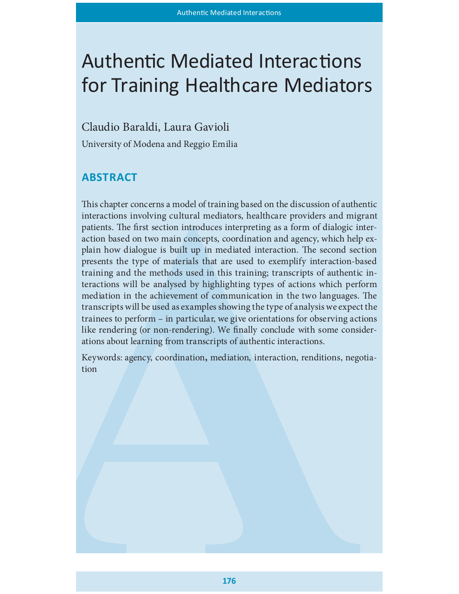# Authentic Mediated Interactions for Training Healthcare Mediators

Claudio Baraldi, Laura Gavioli

University of Modena and Reggio Emilia

# **ABSTRACT**

This chapter concerns a model of training based on the discussion of authentic interactions involving cultural mediators, healthcare providers and migrant patients. The first section introduces interpreting as a form of dialogic interaction based on two main concepts, coordination and agency, which help explain how dialogue is built up in mediated interaction. The second section presents the type of materials that are used to exemplify interaction-based training and the methods used in this training; transcripts of authentic interactions will be analysed by highlighting types of actions which perform mediation in the achievement of communication in the two languages. The transcripts will be used as examples showing the type of analysis we expect the trainees to perform – in particular, we give orientations for observing actions like rendering (or non-rendering). We finally conclude with some considerations about learning from transcripts of authentic interactions.

Keywords: agency, coordination, mediation, interaction, renditions, negotiation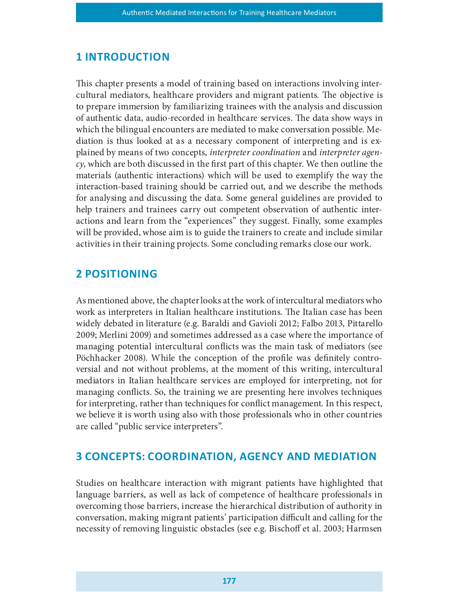# **1 INTRODUCTION**

This chapter presents a model of training based on interactions involving intercultural mediators, healthcare providers and migrant patients. The objective is to prepare immersion by familiarizing trainees with the analysis and discussion of authentic data, audio-recorded in healthcare services. The data show ways in which the bilingual encounters are mediated to make conversation possible. Mediation is thus looked at as a necessary component of interpreting and is explained by means of two concepts, interpreter coordination and interpreter agen $cy$ , which are both discussed in the first part of this chapter. We then outline the materials (authentic interactions) which will be used to exemplify the way the interaction-based training should be carried out, and we describe the methods for analysing and discussing the data. Some general guidelines are provided to help trainers and trainees carry out competent observation of authentic interactions and learn from the "experiences" they suggest. Finally, some examples will be provided, whose aim is to guide the trainers to create and include similar activities in their training projects. Some concluding remarks close our work.

# **2 POSITIONING**

As mentioned above, the chapter looks at the work of intercultural mediators who work as interpreters in Italian healthcare institutions. The Italian case has been widely debated in literature (e.g. Baraldi and Gavioli 2012; Falbo 2013, Pittarello 2009; Merlini 2009) and sometimes addressed as a case where the importance of managing potential intercultural conflicts was the main task of mediators (see Pöchhacker 2008). While the conception of the profile was definitely controversial and not without problems, at the moment of this writing, intercultural mediators in Italian healthcare services are employed for interpreting, not for managing conflicts. So, the training we are presenting here involves techniques for interpreting, rather than techniques for conflict management. In this respect, we believe it is worth using also with those professionals who in other countries are called "public service interpreters".

# 3 CONCEPTS: COORDINATION, AGENCY AND MEDIATION

Studies on healthcare interaction with migrant patients have highlighted that language barriers, as well as lack of competence of healthcare professionals in overcoming those barriers, increase the hierarchical distribution of authority in conversation, making migrant patients' participation difficult and calling for the necessity of removing linguistic obstacles (see e.g. Bischoff et al. 2003; Harmsen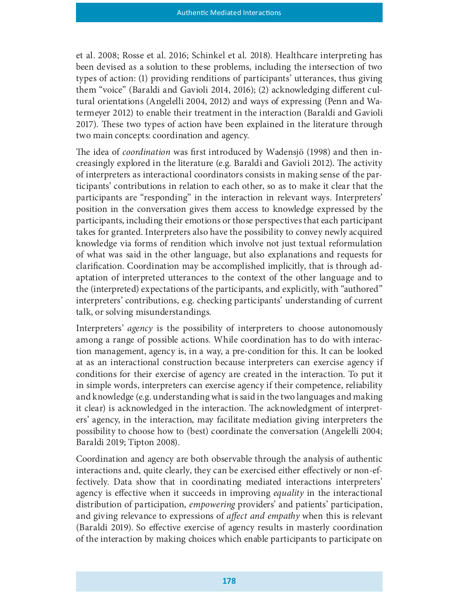et al. 2008; Rosse et al. 2016; Schinkel et al. 2018). Healthcare interpreting has been devised as a solution to these problems, including the intersection of two types of action: (1) providing renditions of participants' utterances, thus giving them "voice" (Baraldi and Gavioli 2014, 2016); (2) acknowledging different cultural orientations (Angelelli 2004, 2012) and ways of expressing (Penn and Watermeyer 2012) to enable their treatment in the interaction (Baraldi and Gavioli 2017). These two types of action have been explained in the literature through two main concepts: coordination and agency.

The idea of *coordination* was first introduced by Wadensjö (1998) and then increasingly explored in the literature (e.g. Baraldi and Gavioli 2012). The activity of interpreters as interactional coordinators consists in making sense of the participants' contributions in relation to each other, so as to make it clear that the participants are "responding" in the interaction in relevant ways. Interpreters' position in the conversation gives them access to knowledge expressed by the participants, including their emotions or those perspectives that each participant takes for granted. Interpreters also have the possibility to convey newly acquired knowledge via forms of rendition which involve not just textual reformulation of what was said in the other language, but also explanations and requests for clarification. Coordination may be accomplished implicitly, that is through adaptation of interpreted utterances to the context of the other language and to the (interpreted) expectations of the participants, and explicitly, with "authored" interpreters' contributions, e.g. checking participants' understanding of current talk, or solving misunderstandings.

Interpreters' agency is the possibility of interpreters to choose autonomously among a range of possible actions. While coordination has to do with interaction management, agency is, in a way, a pre-condition for this. It can be looked at as an interactional construction because interpreters can exercise agency if conditions for their exercise of agency are created in the interaction. To put it in simple words, interpreters can exercise agency if their competence, reliability and knowledge (e.g. understanding what is said in the two languages and making it clear) is acknowledged in the interaction. The acknowledgment of interpreters' agency, in the interaction, may facilitate mediation giving interpreters the possibility to choose how to (best) coordinate the conversation (Angelelli 2004; Baraldi 2019; Tipton 2008).

Coordination and agency are both observable through the analysis of authentic interactions and, quite clearly, they can be exercised either effectively or non-effectively. Data show that in coordinating mediated interactions interpreters' agency is effective when it succeeds in improving *equality* in the interactional distribution of participation, *empowering* providers' and patients' participation, and giving relevance to expressions of *affect and empathy* when this is relevant (Baraldi 2019). So effective exercise of agency results in masterly coordination of the interaction by making choices which enable participants to participate on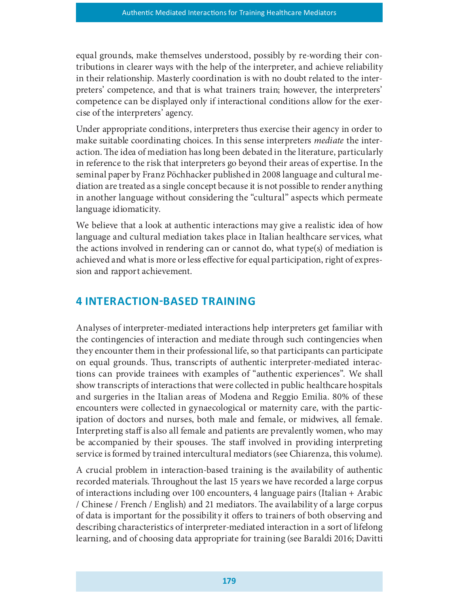equal grounds, make themselves understood, possibly by re-wording their contributions in clearer ways with the help of the interpreter, and achieve reliability in their relationship. Masterly coordination is with no doubt related to the interpreters' competence, and that is what trainers train; however, the interpreters' competence can be displayed only if interactional conditions allow for the exercise of the interpreters' agency.

Under appropriate conditions, interpreters thus exercise their agency in order to make suitable coordinating choices. In this sense interpreters *mediate* the interaction. The idea of mediation has long been debated in the literature, particularly in reference to the risk that interpreters go beyond their areas of expertise. In the seminal paper by Franz Pöchhacker published in 2008 language and cultural mediation are treated as a single concept because it is not possible to render anything in another language without considering the "cultural" aspects which permeate language idiomaticity.

We believe that a look at authentic interactions may give a realistic idea of how language and cultural mediation takes place in Italian healthcare services, what the actions involved in rendering can or cannot do, what type(s) of mediation is achieved and what is more or less effective for equal participation, right of expression and rapport achievement.

# 4 INTERACTION-BASED TRAINING

Analyses of interpreter-mediated interactions help interpreters get familiar with the contingencies of interaction and mediate through such contingencies when they encounter them in their professional life, so that participants can participate on equal grounds. Thus, transcripts of authentic interpreter-mediated interactions can provide trainees with examples of "authentic experiences". We shall show transcripts of interactions that were collected in public healthcare hospitals and surgeries in the Italian areas of Modena and Reggio Emilia. 80% of these encounters were collected in gynaecological or maternity care, with the participation of doctors and nurses, both male and female, or midwives, all female. Interpreting staff is also all female and patients are prevalently women, who may be accompanied by their spouses. The staff involved in providing interpreting service is formed by trained intercultural mediators (see Chiarenza, this volume).

A crucial problem in interaction-based training is the availability of authentic recorded materials. Throughout the last 15 years we have recorded a large corpus of interactions including over 100 encounters, 4 language pairs (Italian + Arabic / Chinese / French / English) and 21 mediators. The availability of a large corpus of data is important for the possibility it offers to trainers of both observing and describing characteristics of interpreter-mediated interaction in a sort of lifelong learning, and of choosing data appropriate for training (see Baraldi 2016; Davitti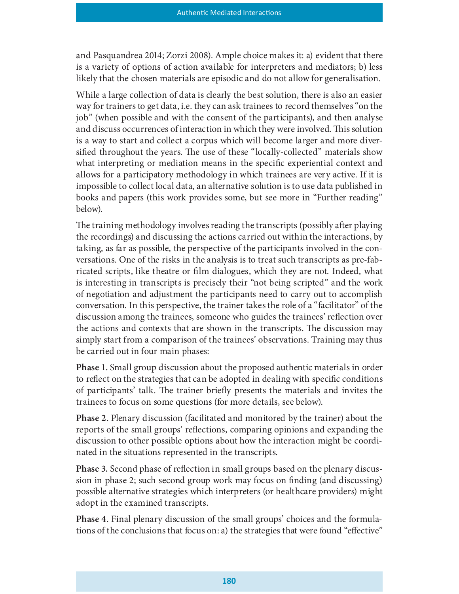and Pasquandrea 2014; Zorzi 2008). Ample choice makes it: a) evident that there is a variety of options of action available for interpreters and mediators; b) less likely that the chosen materials are episodic and do not allow for generalisation.

While a large collection of data is clearly the best solution, there is also an easier way for trainers to get data, i.e. they can ask trainees to record themselves "on the job" (when possible and with the consent of the participants), and then analyse and discuss occurrences of interaction in which they were involved. This solution is a way to start and collect a corpus which will become larger and more diversified throughout the years. The use of these "locally-collected" materials show what interpreting or mediation means in the specific experiential context and allows for a participatory methodology in which trainees are very active. If it is impossible to collect local data, an alternative solution is to use data published in books and papers (this work provides some, but see more in "Further reading" below).

The training methodology involves reading the transcripts (possibly after playing the recordings) and discussing the actions carried out within the interactions, by taking, as far as possible, the perspective of the participants involved in the conversations. One of the risks in the analysis is to treat such transcripts as pre-fabricated scripts, like theatre or film dialogues, which they are not. Indeed, what is interesting in transcripts is precisely their "not being scripted" and the work of negotiation and adjustment the participants need to carry out to accomplish conversation. In this perspective, the trainer takes the role of a "facilitator" of the discussion among the trainees, someone who guides the trainees' reflection over the actions and contexts that are shown in the transcripts. The discussion may simply start from a comparison of the trainees' observations. Training may thus be carried out in four main phases:

Phase 1. Small group discussion about the proposed authentic materials in order to reflect on the strategies that can be adopted in dealing with specific conditions of participants' talk. The trainer briefly presents the materials and invites the trainees to focus on some questions (for more details, see below).

Phase 2. Plenary discussion (facilitated and monitored by the trainer) about the reports of the small groups' reflections, comparing opinions and expanding the discussion to other possible options about how the interaction might be coordinated in the situations represented in the transcripts.

Phase 3. Second phase of reflection in small groups based on the plenary discussion in phase 2; such second group work may focus on finding (and discussing) possible alternative strategies which interpreters (or healthcare providers) might adopt in the examined transcripts.

Phase 4. Final plenary discussion of the small groups' choices and the formulations of the conclusions that focus on: a) the strategies that were found "effective"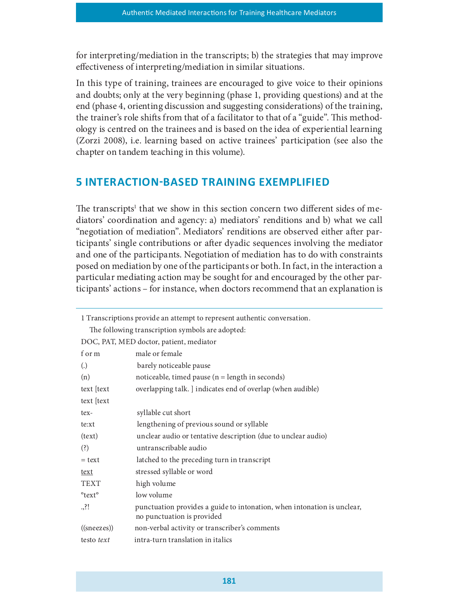for interpreting/mediation in the transcripts; b) the strategies that may improve effectiveness of interpreting/mediation in similar situations.

In this type of training, trainees are encouraged to give voice to their opinions and doubts; only at the very beginning (phase 1, providing questions) and at the end (phase 4, orienting discussion and suggesting considerations) of the training, the trainer's role shifts from that of a facilitator to that of a "guide". This methodology is centred on the trainees and is based on the idea of experiential learning (Zorzi 2008), i.e. learning based on active trainees' participation (see also the chapter on tandem teaching in this volume).

# 5 INTERACTION-BASED TRAINING EXEMPLIFIED

The transcripts<sup>1</sup> that we show in this section concern two different sides of mediators' coordination and agency: a) mediators' renditions and b) what we call "negotiation of mediation". Mediators' renditions are observed either after participants' single contributions or after dyadic sequences involving the mediator and one of the participants. Negotiation of mediation has to do with constraints posed on mediation by one of the participants or both. In fact, in the interaction a particular mediating action may be sought for and encouraged by the other participants' actions – for instance, when doctors recommend that an explanation is

| 1 Transcriptions provide an attempt to represent authentic conversation. |                                                                                                       |  |
|--------------------------------------------------------------------------|-------------------------------------------------------------------------------------------------------|--|
| The following transcription symbols are adopted:                         |                                                                                                       |  |
| DOC, PAT, MED doctor, patient, mediator                                  |                                                                                                       |  |
| f or m                                                                   | male or female                                                                                        |  |
| $\left( .\right)$                                                        | barely noticeable pause                                                                               |  |
| (n)                                                                      | noticeable, timed pause $(n = length in seconds)$                                                     |  |
| text [text                                                               | overlapping talk. ] indicates end of overlap (when audible)                                           |  |
| text [text                                                               |                                                                                                       |  |
| tex-                                                                     | syllable cut short                                                                                    |  |
| te:xt                                                                    | lengthening of previous sound or syllable                                                             |  |
| (text)                                                                   | unclear audio or tentative description (due to unclear audio)                                         |  |
| (?)                                                                      | untranscribable audio                                                                                 |  |
| $=$ text                                                                 | latched to the preceding turn in transcript                                                           |  |
| text                                                                     | stressed syllable or word                                                                             |  |
| <b>TEXT</b>                                                              | high volume                                                                                           |  |
| °text°                                                                   | low volume                                                                                            |  |
| $.$ :!                                                                   | punctuation provides a guide to intonation, when intonation is unclear,<br>no punctuation is provided |  |
| $((\text{snee})$                                                         | non-verbal activity or transcriber's comments                                                         |  |
| testo text                                                               | intra-turn translation in italics                                                                     |  |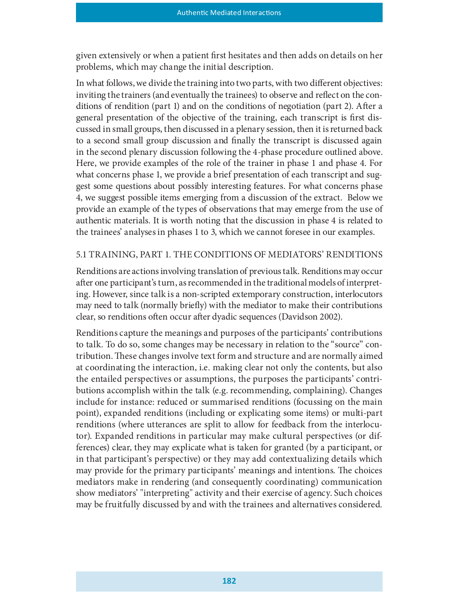given extensively or when a patient first hesitates and then adds on details on her problems, which may change the initial description.

In what follows, we divide the training into two parts, with two different objectives: inviting the trainers (and eventually the trainees) to observe and reflect on the conditions of rendition (part 1) and on the conditions of negotiation (part 2). After a general presentation of the objective of the training, each transcript is first discussed in small groups, then discussed in a plenary session, then it is returned back to a second small group discussion and finally the transcript is discussed again in the second plenary discussion following the 4-phase procedure outlined above. Here, we provide examples of the role of the trainer in phase 1 and phase 4. For what concerns phase 1, we provide a brief presentation of each transcript and suggest some questions about possibly interesting features. For what concerns phase 4, we suggest possible items emerging from a discussion of the extract. Below we provide an example of the types of observations that may emerge from the use of authentic materials. It is worth noting that the discussion in phase 4 is related to the trainees' analyses in phases 1 to 3, which we cannot foresee in our examples.

## 5.1 TRAINING, PART 1. THE CONDITIONS OF MEDIATORS' RENDITIONS

Renditions are actions involving translation of previous talk. Renditions may occur after one participant's turn, as recommended in the traditional models of interpreting. However, since talk is a non-scripted extemporary construction, interlocutors may need to talk (normally briefly) with the mediator to make their contributions clear, so renditions often occur after dyadic sequences (Davidson 2002).

Renditions capture the meanings and purposes of the participants' contributions to talk. To do so, some changes may be necessary in relation to the "source" contribution. These changes involve text form and structure and are normally aimed at coordinating the interaction, i.e. making clear not only the contents, but also the entailed perspectives or assumptions, the purposes the participants' contributions accomplish within the talk (e.g. recommending, complaining). Changes include for instance: reduced or summarised renditions (focussing on the main point), expanded renditions (including or explicating some items) or multi-part renditions (where utterances are split to allow for feedback from the interlocutor). Expanded renditions in particular may make cultural perspectives (or differences) clear, they may explicate what is taken for granted (by a participant, or in that participant's perspective) or they may add contextualizing details which may provide for the primary participants' meanings and intentions. The choices mediators make in rendering (and consequently coordinating) communication show mediators' "interpreting" activity and their exercise of agency. Such choices may be fruitfully discussed by and with the trainees and alternatives considered.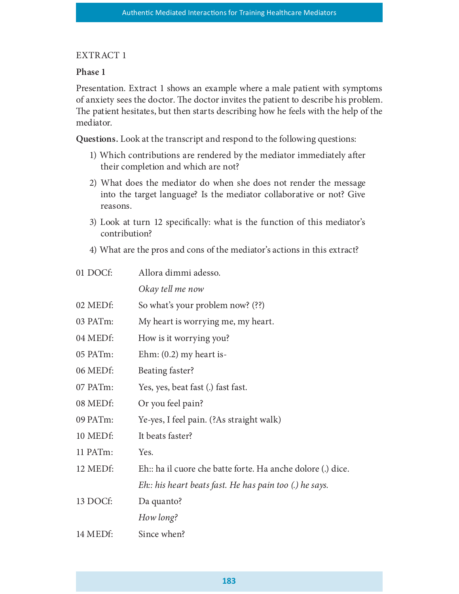## EXTRACT 1

## Phase 1

Presentation. Extract 1 shows an example where a male patient with symptoms of anxiety sees the doctor. The doctor invites the patient to describe his problem. The patient hesitates, but then starts describing how he feels with the help of the mediator.

Questions. Look at the transcript and respond to the following questions:

- 1) Which contributions are rendered by the mediator immediately after their completion and which are not?
- 2) What does the mediator do when she does not render the message into the target language? Is the mediator collaborative or not? Give reasons.
- 3) Look at turn 12 specifically: what is the function of this mediator's contribution?
- 4) What are the pros and cons of the mediator's actions in this extract?

| 01 DOCf: | Allora dimmi adesso.                                       |
|----------|------------------------------------------------------------|
|          | Okay tell me now                                           |
| 02 MEDf: | So what's your problem now? (??)                           |
| 03 PATm: | My heart is worrying me, my heart.                         |
| 04 MEDf: | How is it worrying you?                                    |
| 05 PATm: | Ehm: $(0.2)$ my heart is-                                  |
| 06 MEDf: | Beating faster?                                            |
| 07 PATm: | Yes, yes, beat fast (.) fast fast.                         |
| 08 MEDf: | Or you feel pain?                                          |
| 09 PATm: | Ye-yes, I feel pain. (?As straight walk)                   |
| 10 MEDf: | It beats faster?                                           |
| 11 PATm: | Yes.                                                       |
| 12 MEDf: | Eh: ha il cuore che batte forte. Ha anche dolore (.) dice. |
|          | Eh: his heart beats fast. He has pain too (.) he says.     |
| 13 DOCf: | Da quanto?                                                 |
|          | How long?                                                  |
| 14 MEDf: | Since when?                                                |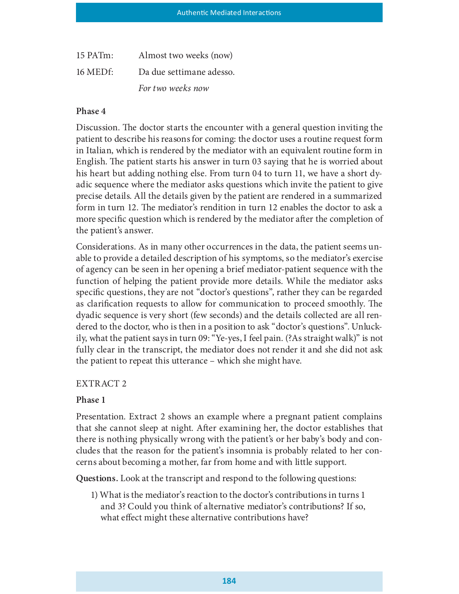| 15 PATm: | Almost two weeks (now)   |
|----------|--------------------------|
| 16 MEDf: | Da due settimane adesso. |
|          | For two weeks now        |

Discussion. The doctor starts the encounter with a general question inviting the patient to describe his reasons for coming: the doctor uses a routine request form in Italian, which is rendered by the mediator with an equivalent routine form in English. The patient starts his answer in turn 03 saying that he is worried about his heart but adding nothing else. From turn 04 to turn 11, we have a short dyadic sequence where the mediator asks questions which invite the patient to give precise details. All the details given by the patient are rendered in a summarized form in turn 12. The mediator's rendition in turn 12 enables the doctor to ask a more specific question which is rendered by the mediator after the completion of the patient's answer.

Considerations. As in many other occurrences in the data, the patient seems unable to provide a detailed description of his symptoms, so the mediator's exercise of agency can be seen in her opening a brief mediator-patient sequence with the function of helping the patient provide more details. While the mediator asks specific questions, they are not "doctor's questions", rather they can be regarded as clarification requests to allow for communication to proceed smoothly. The dyadic sequence is very short (few seconds) and the details collected are all rendered to the doctor, who is then in a position to ask "doctor's questions". Unluckily, what the patient says in turn 09: "Ye-yes, I feel pain. (?As straight walk)" is not fully clear in the transcript, the mediator does not render it and she did not ask the patient to repeat this utterance – which she might have.

# EXTRACT 2

# Phase 1

Presentation. Extract 2 shows an example where a pregnant patient complains that she cannot sleep at night. After examining her, the doctor establishes that there is nothing physically wrong with the patient's or her baby's body and concludes that the reason for the patient's insomnia is probably related to her concerns about becoming a mother, far from home and with little support.

Questions. Look at the transcript and respond to the following questions:

1) What is the mediator's reaction to the doctor's contributions in turns 1 and 3? Could you think of alternative mediator's contributions? If so, what effect might these alternative contributions have?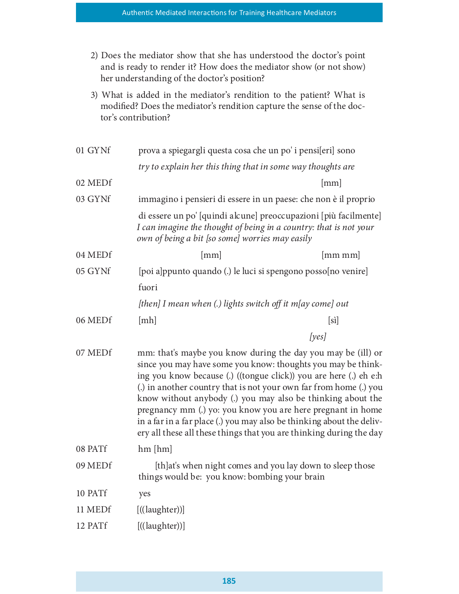- 2) Does the mediator show that she has understood the doctor's point and is ready to render it? How does the mediator show (or not show) her understanding of the doctor's position?
- 3) What is added in the mediator's rendition to the patient? What is modified? Does the mediator's rendition capture the sense of the doctor's contribution?

| prova a spiegargli questa cosa che un po' i pensi[eri] sono |                                                                                                                                                                                                                                                                                                                                                                                                                                                                                                                                                                                                                                                                                                                                                                                                                                                                                                                                                                                                                                                                                                                                 |
|-------------------------------------------------------------|---------------------------------------------------------------------------------------------------------------------------------------------------------------------------------------------------------------------------------------------------------------------------------------------------------------------------------------------------------------------------------------------------------------------------------------------------------------------------------------------------------------------------------------------------------------------------------------------------------------------------------------------------------------------------------------------------------------------------------------------------------------------------------------------------------------------------------------------------------------------------------------------------------------------------------------------------------------------------------------------------------------------------------------------------------------------------------------------------------------------------------|
|                                                             |                                                                                                                                                                                                                                                                                                                                                                                                                                                                                                                                                                                                                                                                                                                                                                                                                                                                                                                                                                                                                                                                                                                                 |
|                                                             | [mm]                                                                                                                                                                                                                                                                                                                                                                                                                                                                                                                                                                                                                                                                                                                                                                                                                                                                                                                                                                                                                                                                                                                            |
|                                                             |                                                                                                                                                                                                                                                                                                                                                                                                                                                                                                                                                                                                                                                                                                                                                                                                                                                                                                                                                                                                                                                                                                                                 |
|                                                             |                                                                                                                                                                                                                                                                                                                                                                                                                                                                                                                                                                                                                                                                                                                                                                                                                                                                                                                                                                                                                                                                                                                                 |
| [mm]                                                        | [mmmm]                                                                                                                                                                                                                                                                                                                                                                                                                                                                                                                                                                                                                                                                                                                                                                                                                                                                                                                                                                                                                                                                                                                          |
|                                                             |                                                                                                                                                                                                                                                                                                                                                                                                                                                                                                                                                                                                                                                                                                                                                                                                                                                                                                                                                                                                                                                                                                                                 |
| fuori                                                       |                                                                                                                                                                                                                                                                                                                                                                                                                                                                                                                                                                                                                                                                                                                                                                                                                                                                                                                                                                                                                                                                                                                                 |
|                                                             |                                                                                                                                                                                                                                                                                                                                                                                                                                                                                                                                                                                                                                                                                                                                                                                                                                                                                                                                                                                                                                                                                                                                 |
| [mh]                                                        | [s]                                                                                                                                                                                                                                                                                                                                                                                                                                                                                                                                                                                                                                                                                                                                                                                                                                                                                                                                                                                                                                                                                                                             |
|                                                             | [yes]                                                                                                                                                                                                                                                                                                                                                                                                                                                                                                                                                                                                                                                                                                                                                                                                                                                                                                                                                                                                                                                                                                                           |
|                                                             |                                                                                                                                                                                                                                                                                                                                                                                                                                                                                                                                                                                                                                                                                                                                                                                                                                                                                                                                                                                                                                                                                                                                 |
| $hm$ [ $hm$ ]                                               |                                                                                                                                                                                                                                                                                                                                                                                                                                                                                                                                                                                                                                                                                                                                                                                                                                                                                                                                                                                                                                                                                                                                 |
|                                                             |                                                                                                                                                                                                                                                                                                                                                                                                                                                                                                                                                                                                                                                                                                                                                                                                                                                                                                                                                                                                                                                                                                                                 |
| yes                                                         |                                                                                                                                                                                                                                                                                                                                                                                                                                                                                                                                                                                                                                                                                                                                                                                                                                                                                                                                                                                                                                                                                                                                 |
|                                                             |                                                                                                                                                                                                                                                                                                                                                                                                                                                                                                                                                                                                                                                                                                                                                                                                                                                                                                                                                                                                                                                                                                                                 |
| $[$ ((laughter))]                                           |                                                                                                                                                                                                                                                                                                                                                                                                                                                                                                                                                                                                                                                                                                                                                                                                                                                                                                                                                                                                                                                                                                                                 |
|                                                             | try to explain her this thing that in some way thoughts are<br>immagino i pensieri di essere in un paese: che non è il proprio<br>di essere un po' [quindi alcune] preoccupazioni [più facilmente]<br>I can imagine the thought of being in a country: that is not your<br>own of being a bit [so some] worries may easily<br>[poi a]ppunto quando (.) le luci si spengono posso[no venire]<br>[then] I mean when (.) lights switch off it m[ay come] out<br>mm: that's maybe you know during the day you may be (ill) or<br>since you may have some you know: thoughts you may be think-<br>ing you know because (.) ((tongue click)) you are here (.) eh e:h<br>(.) in another country that is not your own far from home (.) you<br>know without anybody (.) you may also be thinking about the<br>pregnancy mm (.) yo: you know you are here pregnant in home<br>in a far in a far place (.) you may also be thinking about the deliv-<br>ery all these all these things that you are thinking during the day<br>[th]at's when night comes and you lay down to sleep those<br>things would be: you know: bombing your brain |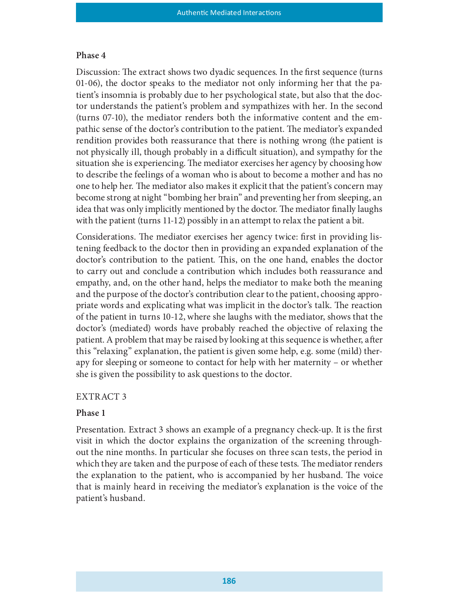Discussion: The extract shows two dyadic sequences. In the first sequence (turns 01-06), the doctor speaks to the mediator not only informing her that the patient's insomnia is probably due to her psychological state, but also that the doctor understands the patient's problem and sympathizes with her. In the second (turns 07-10), the mediator renders both the informative content and the empathic sense of the doctor's contribution to the patient. The mediator's expanded rendition provides both reassurance that there is nothing wrong (the patient is not physically ill, though probably in a difficult situation), and sympathy for the situation she is experiencing. The mediator exercises her agency by choosing how to describe the feelings of a woman who is about to become a mother and has no one to help her. The mediator also makes it explicit that the patient's concern may become strong at night "bombing her brain" and preventing her from sleeping, an idea that was only implicitly mentioned by the doctor. The mediator finally laughs with the patient (turns 11-12) possibly in an attempt to relax the patient a bit.

Considerations. The mediator exercises her agency twice: first in providing listening feedback to the doctor then in providing an expanded explanation of the doctor's contribution to the patient. This, on the one hand, enables the doctor to carry out and conclude a contribution which includes both reassurance and empathy, and, on the other hand, helps the mediator to make both the meaning and the purpose of the doctor's contribution clear to the patient, choosing appropriate words and explicating what was implicit in the doctor's talk. The reaction of the patient in turns 10-12, where she laughs with the mediator, shows that the doctor's (mediated) words have probably reached the objective of relaxing the patient. A problem that may be raised by looking at this sequence is whether, after this "relaxing" explanation, the patient is given some help, e.g. some (mild) therapy for sleeping or someone to contact for help with her maternity – or whether she is given the possibility to ask questions to the doctor.

#### EXTRACT 3

#### Phase 1

Presentation. Extract 3 shows an example of a pregnancy check-up. It is the first visit in which the doctor explains the organization of the screening throughout the nine months. In particular she focuses on three scan tests, the period in which they are taken and the purpose of each of these tests. The mediator renders the explanation to the patient, who is accompanied by her husband. The voice that is mainly heard in receiving the mediator's explanation is the voice of the patient's husband.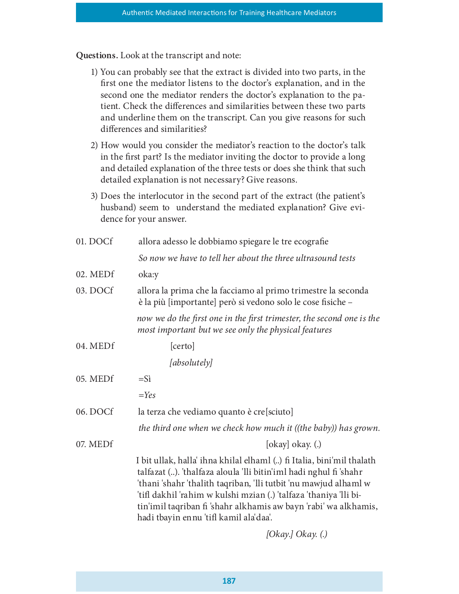Questions. Look at the transcript and note:

- 1) You can probably see that the extract is divided into two parts, in the first one the mediator listens to the doctor's explanation, and in the second one the mediator renders the doctor's explanation to the patient. Check the differences and similarities between these two parts and underline them on the transcript. Can you give reasons for such differences and similarities?
- 2) How would you consider the mediator's reaction to the doctor's talk in the first part? Is the mediator inviting the doctor to provide a long and detailed explanation of the three tests or does she think that such detailed explanation is not necessary? Give reasons.
- 3) Does the interlocutor in the second part of the extract (the patient's husband) seem to understand the mediated explanation? Give evidence for your answer.

| 01. DOCf | allora adesso le dobbiamo spiegare le tre ecografie                                                                                                                                                                                                                                                                                                                                               |
|----------|---------------------------------------------------------------------------------------------------------------------------------------------------------------------------------------------------------------------------------------------------------------------------------------------------------------------------------------------------------------------------------------------------|
|          | So now we have to tell her about the three ultrasound tests                                                                                                                                                                                                                                                                                                                                       |
| 02. MEDf | oka:y                                                                                                                                                                                                                                                                                                                                                                                             |
| 03. DOCf | allora la prima che la facciamo al primo trimestre la seconda<br>è la più [importante] però si vedono solo le cose fisiche -                                                                                                                                                                                                                                                                      |
|          | now we do the first one in the first trimester, the second one is the<br>most important but we see only the physical features                                                                                                                                                                                                                                                                     |
| 04. MEDf | [certo]                                                                                                                                                                                                                                                                                                                                                                                           |
|          | [absolutely]                                                                                                                                                                                                                                                                                                                                                                                      |
| 05. MEDf | $=$ Sì                                                                                                                                                                                                                                                                                                                                                                                            |
|          | $=$ Yes                                                                                                                                                                                                                                                                                                                                                                                           |
| 06. DOCf | la terza che vediamo quanto è cre[sciuto]                                                                                                                                                                                                                                                                                                                                                         |
|          | the third one when we check how much it ((the baby)) has grown.                                                                                                                                                                                                                                                                                                                                   |
| 07. MEDf | [okay] okay. $(.)$                                                                                                                                                                                                                                                                                                                                                                                |
|          | I bit ullak, halla' ihna khilal elhaml () fi Italia, bini'mil thalath<br>talfazat (). 'thalfaza aloula 'lli bitin'iml hadi nghul fi 'shahr<br>'thani 'shahr 'thalith taqriban, 'lli tutbit 'nu mawjud alhaml w<br>'tifl dakhil 'rahim w kulshi mzian (.) 'talfaza 'thaniya 'lli bi-<br>tin'imil taqriban fi 'shahr alkhamis aw bayn 'rabi' wa alkhamis,<br>hadi tbayin ennu 'tifl kamil ala'daa'. |

[Okay.] Okay. (.)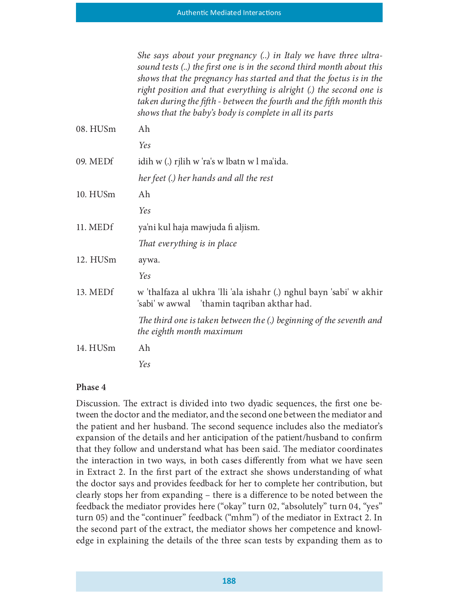|          | She says about your pregnancy () in Italy we have three ultra-<br>sound tests () the first one is in the second third month about this<br>shows that the pregnancy has started and that the foetus is in the<br>right position and that everything is alright (.) the second one is<br>taken during the fifth - between the fourth and the fifth month this<br>shows that the baby's body is complete in all its parts |
|----------|------------------------------------------------------------------------------------------------------------------------------------------------------------------------------------------------------------------------------------------------------------------------------------------------------------------------------------------------------------------------------------------------------------------------|
| 08. HUSm | Ah                                                                                                                                                                                                                                                                                                                                                                                                                     |
|          | Yes                                                                                                                                                                                                                                                                                                                                                                                                                    |
| 09. MEDf | idih w (.) rjlih w 'ra's w lbatn w l ma'ida.                                                                                                                                                                                                                                                                                                                                                                           |
|          | her feet (.) her hands and all the rest                                                                                                                                                                                                                                                                                                                                                                                |
| 10. HUSm | Ah                                                                                                                                                                                                                                                                                                                                                                                                                     |
|          | Yes                                                                                                                                                                                                                                                                                                                                                                                                                    |
| 11. MEDf | ya'ni kul haja mawjuda fi aljism.                                                                                                                                                                                                                                                                                                                                                                                      |
|          | That everything is in place                                                                                                                                                                                                                                                                                                                                                                                            |
| 12. HUSm | aywa.                                                                                                                                                                                                                                                                                                                                                                                                                  |
|          | Yes                                                                                                                                                                                                                                                                                                                                                                                                                    |
| 13. MEDf | w 'thalfaza al ukhra 'lli 'ala ishahr (.) nghul bayn 'sabi' w akhir<br>'sabi' w awwal 'thamin taqriban akthar had.                                                                                                                                                                                                                                                                                                     |
|          | The third one is taken between the (.) beginning of the seventh and<br>the eighth month maximum                                                                                                                                                                                                                                                                                                                        |
| 14. HUSm | Ah                                                                                                                                                                                                                                                                                                                                                                                                                     |
|          | Yes                                                                                                                                                                                                                                                                                                                                                                                                                    |

Discussion. The extract is divided into two dyadic sequences, the first one between the doctor and the mediator, and the second one between the mediator and the patient and her husband. The second sequence includes also the mediator's expansion of the details and her anticipation of the patient/husband to confirm that they follow and understand what has been said. The mediator coordinates the interaction in two ways, in both cases differently from what we have seen in Extract 2. In the first part of the extract she shows understanding of what the doctor says and provides feedback for her to complete her contribution, but clearly stops her from expanding – there is a difference to be noted between the feedback the mediator provides here ("okay" turn 02, "absolutely" turn 04, "yes" turn 05) and the "continuer" feedback ("mhm") of the mediator in Extract 2. In the second part of the extract, the mediator shows her competence and knowledge in explaining the details of the three scan tests by expanding them as to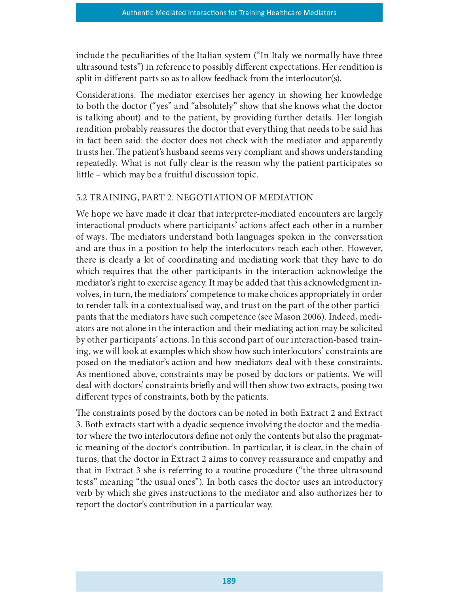include the peculiarities of the Italian system ("In Italy we normally have three ultrasound tests") in reference to possibly different expectations. Her rendition is split in different parts so as to allow feedback from the interlocutor(s).

Considerations. The mediator exercises her agency in showing her knowledge to both the doctor ("yes" and "absolutely" show that she knows what the doctor is talking about) and to the patient, by providing further details. Her longish rendition probably reassures the doctor that everything that needs to be said has in fact been said: the doctor does not check with the mediator and apparently trusts her. The patient's husband seems very compliant and shows understanding repeatedly. What is not fully clear is the reason why the patient participates so little – which may be a fruitful discussion topic.

# 5.2 TRAINING, PART 2. NEGOTIATION OF MEDIATION

We hope we have made it clear that interpreter-mediated encounters are largely interactional products where participants' actions affect each other in a number of ways. The mediators understand both languages spoken in the conversation and are thus in a position to help the interlocutors reach each other. However, there is clearly a lot of coordinating and mediating work that they have to do which requires that the other participants in the interaction acknowledge the mediator's right to exercise agency. It may be added that this acknowledgment involves, in turn, the mediators' competence to make choices appropriately in order to render talk in a contextualised way, and trust on the part of the other participants that the mediators have such competence (see Mason 2006). Indeed, mediators are not alone in the interaction and their mediating action may be solicited by other participants' actions. In this second part of our interaction-based training, we will look at examples which show how such interlocutors' constraints are posed on the mediator's action and how mediators deal with these constraints. As mentioned above, constraints may be posed by doctors or patients. We will deal with doctors' constraints briefly and will then show two extracts, posing two different types of constraints, both by the patients.

The constraints posed by the doctors can be noted in both Extract 2 and Extract 3. Both extracts start with a dyadic sequence involving the doctor and the mediator where the two interlocutors dene not only the contents but also the pragmatic meaning of the doctor's contribution. In particular, it is clear, in the chain of turns, that the doctor in Extract 2 aims to convey reassurance and empathy and that in Extract 3 she is referring to a routine procedure ("the three ultrasound tests" meaning "the usual ones"). In both cases the doctor uses an introductory verb by which she gives instructions to the mediator and also authorizes her to report the doctor's contribution in a particular way.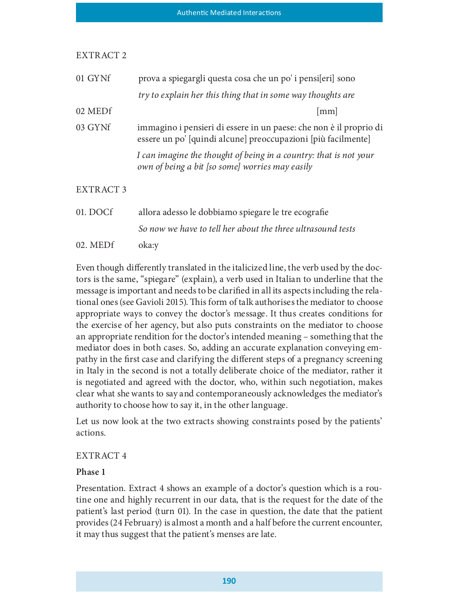| 01 GYNf          | prova a spiegargli questa cosa che un po' i pensi[eri] sono                                                                         |
|------------------|-------------------------------------------------------------------------------------------------------------------------------------|
|                  | try to explain her this thing that in some way thoughts are                                                                         |
| 02 MEDf          | $\lceil$ mm                                                                                                                         |
| 03 GYNf          | immagino i pensieri di essere in un paese: che non è il proprio di<br>essere un po' [quindi alcune] preoccupazioni [più facilmente] |
|                  | I can imagine the thought of being in a country: that is not your<br>own of being a bit [so some] worries may easily                |
| <b>EXTRACT 3</b> |                                                                                                                                     |
| 01. DOCf         | allora adesso le dobbiamo spiegare le tre ecografie                                                                                 |
|                  | So now we have to tell her about the three ultrasound tests                                                                         |
| 02. MEDf         | oka:y                                                                                                                               |

Even though differently translated in the italicized line, the verb used by the doctors is the same, "spiegare" (explain), a verb used in Italian to underline that the message is important and needs to be claried in all its aspects including the relational ones (see Gavioli 2015). This form of talk authorises the mediator to choose appropriate ways to convey the doctor's message. It thus creates conditions for the exercise of her agency, but also puts constraints on the mediator to choose an appropriate rendition for the doctor's intended meaning – something that the mediator does in both cases. So, adding an accurate explanation conveying empathy in the first case and clarifying the different steps of a pregnancy screening in Italy in the second is not a totally deliberate choice of the mediator, rather it is negotiated and agreed with the doctor, who, within such negotiation, makes clear what she wants to say and contemporaneously acknowledges the mediator's authority to choose how to say it, in the other language.

Let us now look at the two extracts showing constraints posed by the patients' actions.

# EXTRACT 4

# Phase 1

Presentation. Extract 4 shows an example of a doctor's question which is a routine one and highly recurrent in our data, that is the request for the date of the patient's last period (turn 01). In the case in question, the date that the patient provides (24 February) is almost a month and a half before the current encounter, it may thus suggest that the patient's menses are late.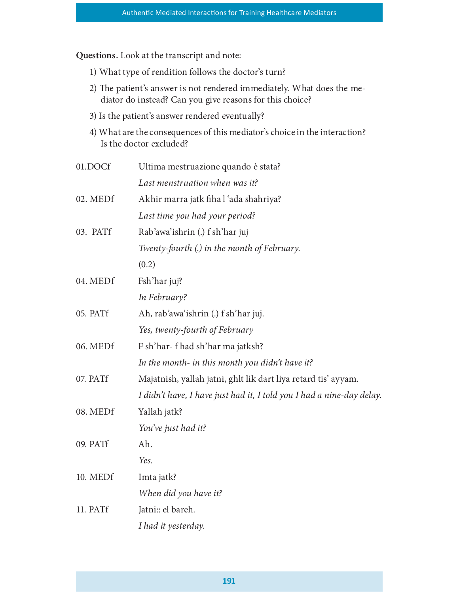Questions. Look at the transcript and note:

- 1) What type of rendition follows the doctor's turn?
- 2) The patient's answer is not rendered immediately. What does the mediator do instead? Can you give reasons for this choice?
- 3) Is the patient's answer rendered eventually?
- 4) What are the consequences of this mediator's choice in the interaction? Is the doctor excluded?

| 01.DOCf  | Ultima mestruazione quando è stata?                                   |
|----------|-----------------------------------------------------------------------|
|          | Last menstruation when was it?                                        |
| 02. MEDf | Akhir marra jatk fiha l'ada shahriya?                                 |
|          | Last time you had your period?                                        |
| 03. PATf | Rab'awa'ishrin (.) f sh'har juj                                       |
|          | Twenty-fourth (.) in the month of February.                           |
|          | (0.2)                                                                 |
| 04. MEDf | Fsh'har juj?                                                          |
|          | In February?                                                          |
| 05. PATf | Ah, rab'awa'ishrin (.) f sh'har juj.                                  |
|          | Yes, twenty-fourth of February                                        |
| 06. MEDf | F sh'har- f had sh'har ma jatksh?                                     |
|          | In the month- in this month you didn't have it?                       |
| 07. PATf | Majatnish, yallah jatni, ghlt lik dart liya retard tis' ayyam.        |
|          | I didn't have, I have just had it, I told you I had a nine-day delay. |
| 08. MEDf | Yallah jatk?                                                          |
|          | You've just had it?                                                   |
| 09. PATf | Ah.                                                                   |
|          | Yes.                                                                  |
| 10. MEDf | Imta jatk?                                                            |
|          | When did you have it?                                                 |
| 11. PATf | Jatni: el bareh.                                                      |
|          | I had it yesterday.                                                   |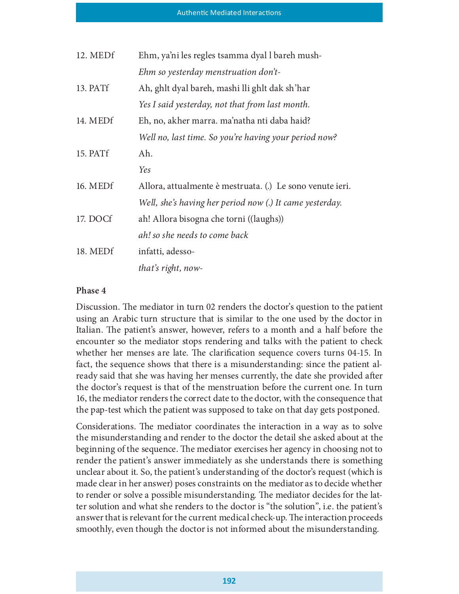| 12. MEDf | Ehm, ya'ni les regles tsamma dyal l bareh mush-           |
|----------|-----------------------------------------------------------|
|          | Ehm so yesterday menstruation don't-                      |
| 13. PATf | Ah, ghlt dyal bareh, mashi lli ghlt dak sh'har            |
|          | Yes I said yesterday, not that from last month.           |
| 14. MEDf | Eh, no, akher marra. ma'natha nti daba haid?              |
|          | Well no, last time. So you're having your period now?     |
| 15. PATf | Ah.                                                       |
|          | Yes                                                       |
| 16. MEDf | Allora, attualmente è mestruata. (.) Le sono venute ieri. |
|          | Well, she's having her period now (.) It came yesterday.  |
| 17. DOCf | ah! Allora bisogna che torni ((laughs))                   |
|          | ah! so she needs to come back                             |
| 18. MEDf | infatti, adesso-                                          |
|          | that's right, now-                                        |

Discussion. The mediator in turn 02 renders the doctor's question to the patient using an Arabic turn structure that is similar to the one used by the doctor in Italian. The patient's answer, however, refers to a month and a half before the encounter so the mediator stops rendering and talks with the patient to check whether her menses are late. The clarification sequence covers turns 04-15. In fact, the sequence shows that there is a misunderstanding: since the patient already said that she was having her menses currently, the date she provided after the doctor's request is that of the menstruation before the current one. In turn 16, the mediator renders the correct date to the doctor, with the consequence that the pap-test which the patient was supposed to take on that day gets postponed.

Considerations. The mediator coordinates the interaction in a way as to solve the misunderstanding and render to the doctor the detail she asked about at the beginning of the sequence. The mediator exercises her agency in choosing not to render the patient's answer immediately as she understands there is something unclear about it. So, the patient's understanding of the doctor's request (which is made clear in her answer) poses constraints on the mediator as to decide whether to render or solve a possible misunderstanding. The mediator decides for the latter solution and what she renders to the doctor is "the solution", i.e. the patient's answer that is relevant for the current medical check-up. The interaction proceeds smoothly, even though the doctor is not informed about the misunderstanding.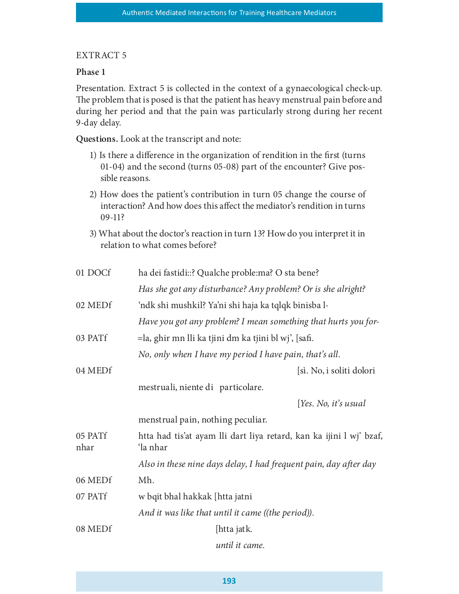## EXTRACT 5

## Phase 1

Presentation. Extract 5 is collected in the context of a gynaecological check-up. The problem that is posed is that the patient has heavy menstrual pain before and during her period and that the pain was particularly strong during her recent 9-day delay.

Questions. Look at the transcript and note:

- 1) Is there a difference in the organization of rendition in the first (turns 01-04) and the second (turns 05-08) part of the encounter? Give possible reasons.
- 2) How does the patient's contribution in turn 05 change the course of interaction? And how does this affect the mediator's rendition in turns 09-11?
- 3) What about the doctor's reaction in turn 13? How do you interpret it in relation to what comes before?

| 01 DOCf         | ha dei fastidi::? Qualche proble:ma? O sta bene?                                |
|-----------------|---------------------------------------------------------------------------------|
|                 | Has she got any disturbance? Any problem? Or is she alright?                    |
| 02 MEDf         | 'ndk shi mushkil? Ya'ni shi haja ka tqlqk binisba l-                            |
|                 | Have you got any problem? I mean something that hurts you for-                  |
| 03 PATf         | =la, ghir mn lli ka tjini dm ka tjini bl wj', [safi.                            |
|                 | No, only when I have my period I have pain, that's all.                         |
| 04 MEDf         | [sì. No, i soliti dolori                                                        |
|                 | mestruali, niente di particolare.                                               |
|                 | [Yes. No, it's usual                                                            |
|                 | menstrual pain, nothing peculiar.                                               |
| 05 PATf<br>nhar | htta had tis'at ayam lli dart liya retard, kan ka ijini l wj' bzaf,<br>'la nhar |
|                 | Also in these nine days delay, I had frequent pain, day after day               |
| 06 MEDf         | Mh.                                                                             |
| 07 PATf         | w bqit bhal hakkak [htta jatni                                                  |
|                 | And it was like that until it came ((the period)).                              |
| 08 MEDf         | [htta jatk.                                                                     |
|                 | until it came.                                                                  |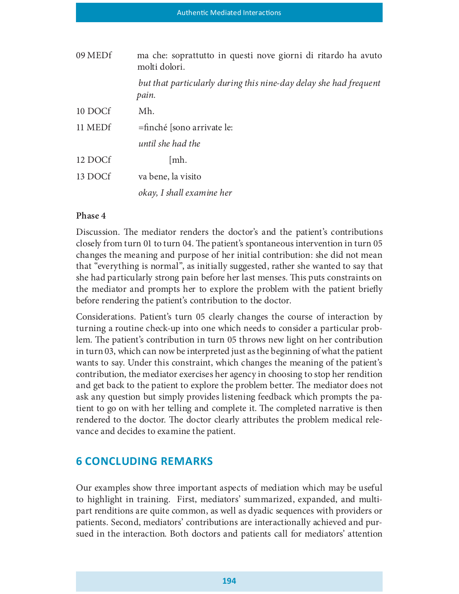| 09 MEDf | ma che: soprattutto in questi nove giorni di ritardo ha avuto<br>molti dolori. |
|---------|--------------------------------------------------------------------------------|
|         | but that particularly during this nine-day delay she had frequent<br>pain.     |
| 10 DOCf | Mh.                                                                            |
| 11 MEDf | =finché [sono arrivate le:                                                     |
|         | until she had the                                                              |
| 12 DOCf | [mh.                                                                           |
| 13 DOCf | va bene, la visito                                                             |
|         | okay, I shall examine her                                                      |

Discussion. The mediator renders the doctor's and the patient's contributions closely from turn 01 to turn 04. The patient's spontaneous intervention in turn 05 changes the meaning and purpose of her initial contribution: she did not mean that "everything is normal", as initially suggested, rather she wanted to say that she had particularly strong pain before her last menses. This puts constraints on the mediator and prompts her to explore the problem with the patient briefly before rendering the patient's contribution to the doctor.

Considerations. Patient's turn 05 clearly changes the course of interaction by turning a routine check-up into one which needs to consider a particular problem. The patient's contribution in turn 05 throws new light on her contribution in turn 03, which can now be interpreted just as the beginning of what the patient wants to say. Under this constraint, which changes the meaning of the patient's contribution, the mediator exercises her agency in choosing to stop her rendition and get back to the patient to explore the problem better. The mediator does not ask any question but simply provides listening feedback which prompts the patient to go on with her telling and complete it. The completed narrative is then rendered to the doctor. The doctor clearly attributes the problem medical relevance and decides to examine the patient.

# **6 CONCLUDING REMARKS**

Our examples show three important aspects of mediation which may be useful to highlight in training. First, mediators' summarized, expanded, and multipart renditions are quite common, as well as dyadic sequences with providers or patients. Second, mediators' contributions are interactionally achieved and pursued in the interaction. Both doctors and patients call for mediators' attention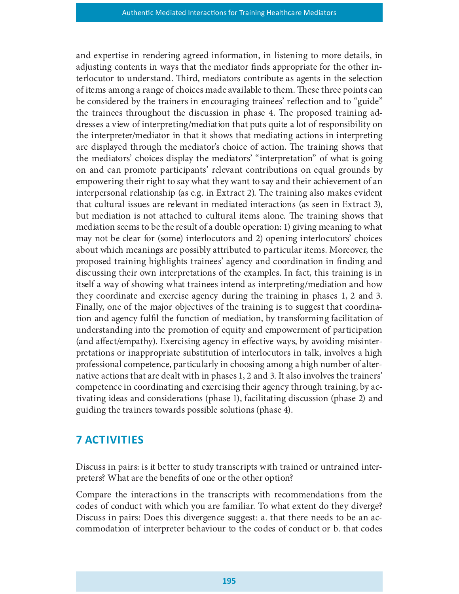and expertise in rendering agreed information, in listening to more details, in adjusting contents in ways that the mediator finds appropriate for the other interlocutor to understand. Third, mediators contribute as agents in the selection of items among a range of choices made available to them. These three points can be considered by the trainers in encouraging trainees' reflection and to "guide" the trainees throughout the discussion in phase 4. The proposed training addresses a view of interpreting/mediation that puts quite a lot of responsibility on the interpreter/mediator in that it shows that mediating actions in interpreting are displayed through the mediator's choice of action. The training shows that the mediators' choices display the mediators' "interpretation" of what is going on and can promote participants' relevant contributions on equal grounds by empowering their right to say what they want to say and their achievement of an interpersonal relationship (as e.g. in Extract 2). The training also makes evident that cultural issues are relevant in mediated interactions (as seen in Extract 3), but mediation is not attached to cultural items alone. The training shows that mediation seems to be the result of a double operation: 1) giving meaning to what may not be clear for (some) interlocutors and 2) opening interlocutors' choices about which meanings are possibly attributed to particular items. Moreover, the proposed training highlights trainees' agency and coordination in finding and discussing their own interpretations of the examples. In fact, this training is in itself a way of showing what trainees intend as interpreting/mediation and how they coordinate and exercise agency during the training in phases 1, 2 and 3. Finally, one of the major objectives of the training is to suggest that coordination and agency full the function of mediation, by transforming facilitation of understanding into the promotion of equity and empowerment of participation (and affect/empathy). Exercising agency in effective ways, by avoiding misinterpretations or inappropriate substitution of interlocutors in talk, involves a high professional competence, particularly in choosing among a high number of alternative actions that are dealt with in phases 1, 2 and 3. It also involves the trainers' competence in coordinating and exercising their agency through training, by activating ideas and considerations (phase 1), facilitating discussion (phase 2) and guiding the trainers towards possible solutions (phase 4).

# **7 ACTIVITIES**

Discuss in pairs: is it better to study transcripts with trained or untrained interpreters? What are the benefits of one or the other option?

Compare the interactions in the transcripts with recommendations from the codes of conduct with which you are familiar. To what extent do they diverge? Discuss in pairs: Does this divergence suggest: a. that there needs to be an accommodation of interpreter behaviour to the codes of conduct or b. that codes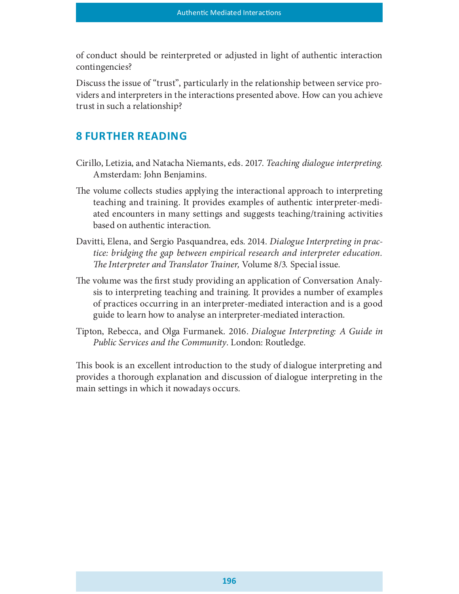of conduct should be reinterpreted or adjusted in light of authentic interaction contingencies?

Discuss the issue of "trust", particularly in the relationship between service providers and interpreters in the interactions presented above. How can you achieve trust in such a relationship?

# **8 FURTHER READING**

- Cirillo, Letizia, and Natacha Niemants, eds. 2017. Teaching dialogue interpreting. Amsterdam: John Benjamins.
- The volume collects studies applying the interactional approach to interpreting teaching and training. It provides examples of authentic interpreter-mediated encounters in many settings and suggests teaching/training activities based on authentic interaction.
- Davitti, Elena, and Sergio Pasquandrea, eds. 2014. Dialogue Interpreting in practice: bridging the gap between empirical research and interpreter education. The Interpreter and Translator Trainer, Volume 8/3. Special issue.
- The volume was the first study providing an application of Conversation Analysis to interpreting teaching and training. It provides a number of examples of practices occurring in an interpreter-mediated interaction and is a good guide to learn how to analyse an interpreter-mediated interaction.
- Tipton, Rebecca, and Olga Furmanek. 2016. Dialogue Interpreting: A Guide in Public Services and the Community. London: Routledge.

This book is an excellent introduction to the study of dialogue interpreting and provides a thorough explanation and discussion of dialogue interpreting in the main settings in which it nowadays occurs.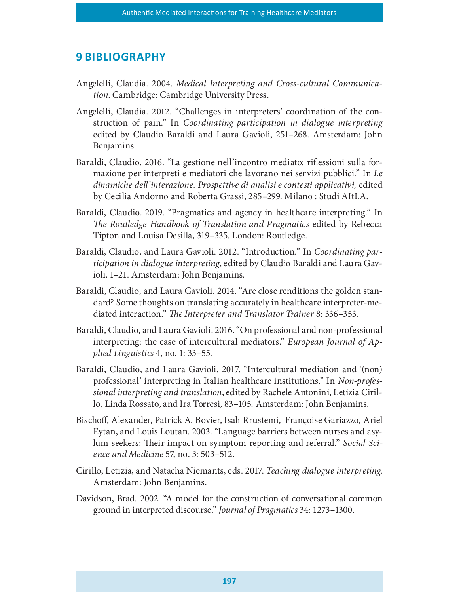# **9 BIBLIOGRAPHY**

- Angelelli, Claudia. 2004. Medical Interpreting and Cross-cultural Communication. Cambridge: Cambridge University Press.
- Angelelli, Claudia. 2012. "Challenges in interpreters' coordination of the construction of pain." In Coordinating participation in dialogue interpreting edited by Claudio Baraldi and Laura Gavioli, 251–268. Amsterdam: John Benjamins.
- Baraldi, Claudio. 2016. "La gestione nell'incontro mediato: riflessioni sulla formazione per interpreti e mediatori che lavorano nei servizi pubblici." In Le dinamiche dell'interazione. Prospettive di analisi e contesti applicativi, edited by Cecilia Andorno and Roberta Grassi, 285–299. Milano : Studi AItLA.
- Baraldi, Claudio. 2019. "Pragmatics and agency in healthcare interpreting." In The Routledge Handbook of Translation and Pragmatics edited by Rebecca Tipton and Louisa Desilla, 319–335. London: Routledge.
- Baraldi, Claudio, and Laura Gavioli. 2012. "Introduction." In Coordinating participation in dialogue interpreting, edited by Claudio Baraldi and Laura Gavioli, 1–21. Amsterdam: John Benjamins.
- Baraldi, Claudio, and Laura Gavioli. 2014. "Are close renditions the golden standard? Some thoughts on translating accurately in healthcare interpreter-mediated interaction." The Interpreter and Translator Trainer 8: 336–353.
- Baraldi, Claudio, and Laura Gavioli. 2016. "On professional and non-professional interpreting: the case of intercultural mediators." European Journal of Applied Linguistics 4, no. 1: 33–55.
- Baraldi, Claudio, and Laura Gavioli. 2017. "Intercultural mediation and '(non) professional' interpreting in Italian healthcare institutions." In Non-professional interpreting and translation, edited by Rachele Antonini, Letizia Cirillo, Linda Rossato, and Ira Torresi, 83–105. Amsterdam: John Benjamins.
- Bischoff, Alexander, Patrick A. Bovier, Isah Rrustemi, Françoise Gariazzo, Ariel Eytan, and Louis Loutan. 2003. "Language barriers between nurses and asylum seekers: Their impact on symptom reporting and referral." Social Science and Medicine 57, no. 3: 503–512.
- Cirillo, Letizia, and Natacha Niemants, eds. 2017. Teaching dialogue interpreting. Amsterdam: John Benjamins.
- Davidson, Brad. 2002. "A model for the construction of conversational common ground in interpreted discourse." Journal of Pragmatics 34: 1273–1300.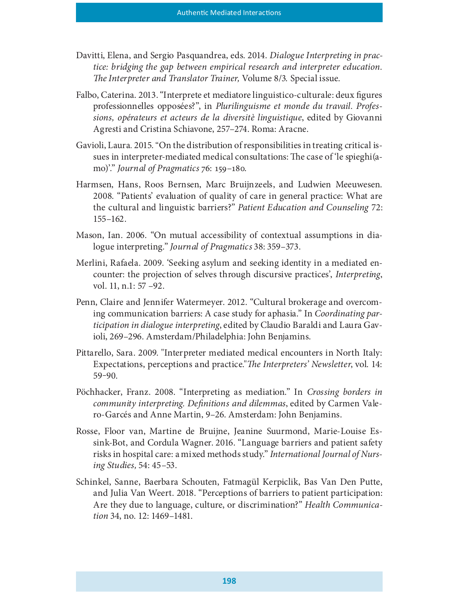- Davitti, Elena, and Sergio Pasquandrea, eds. 2014. Dialogue Interpreting in practice: bridging the gap between empirical research and interpreter education. The Interpreter and Translator Trainer, Volume 8/3. Special issue.
- Falbo, Caterina. 2013. "Interprete et mediatore linguistico-culturale: deux figures professionnelles opposées?", in Plurilinguisme et monde du travail. Professions, opérateurs et acteurs de la diversitè linguistique, edited by Giovanni Agresti and Cristina Schiavone, 257–274. Roma: Aracne.
- Gavioli, Laura. 2015. "On the distribution of responsibilities in treating critical issues in interpreter-mediated medical consultations: The case of 'le spieghi(amo)'." Journal of Pragmatics  $76:159-180$ .
- Harmsen, Hans, Roos Bernsen, Marc Bruijnzeels, and Ludwien Meeuwesen. 2008. "Patients' evaluation of quality of care in general practice: What are the cultural and linguistic barriers?" Patient Education and Counseling 72: 155–162.
- Mason, Ian. 2006. "On mutual accessibility of contextual assumptions in dialogue interpreting." Journal of Pragmatics 38: 359–373.
- Merlini, Rafaela. 2009. 'Seeking asylum and seeking identity in a mediated encounter: the projection of selves through discursive practices', *Interpreting*, vol. 11, n.1: 57 –92.
- Penn, Claire and Jennifer Watermeyer. 2012. "Cultural brokerage and overcoming communication barriers: A case study for aphasia." In Coordinating participation in dialogue interpreting, edited by Claudio Baraldi and Laura Gavioli, 269–296. Amsterdam/Philadelphia: John Benjamins.
- Pittarello, Sara. 2009. "Interpreter mediated medical encounters in North Italy: Expectations, perceptions and practice." The Interpreters' Newsletter, vol. 14:  $59 - 90.$
- Pöchhacker, Franz. 2008. "Interpreting as mediation." In Crossing borders in community interpreting. De{nitions and dilemmas, edited by Carmen Valero-Garcés and Anne Martin, 9–26. Amsterdam: John Benjamins.
- Rosse, Floor van, Martine de Bruijne, Jeanine Suurmond, Marie-Louise Essink-Bot, and Cordula Wagner. 2016. "Language barriers and patient safety risks in hospital care: a mixed methods study." International Journal of Nursing Studies, 54: 45–53.
- Schinkel, Sanne, Baerbara Schouten, Fatmagül Kerpiclik, Bas Van Den Putte, and Julia Van Weert. 2018. "Perceptions of barriers to patient participation: Are they due to language, culture, or discrimination?" Health Communication 34, no. 12: 1469–1481.